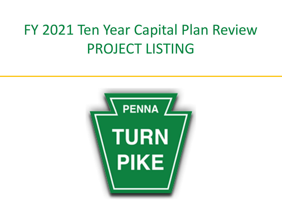# FY 2021 Ten Year Capital Plan Review PROJECT LISTING

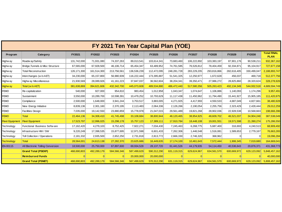|                        |                                   |               |             |              | FY 2021 Ten Year Capital Plan (YOE) |             |             |             |             |             |             |                                   |
|------------------------|-----------------------------------|---------------|-------------|--------------|-------------------------------------|-------------|-------------|-------------|-------------|-------------|-------------|-----------------------------------|
| Program                | Category                          | FY2021        | FY2022      | FY2023       | FY2024                              | FY2025      | FY2026      | FY2027      | FY2028      | FY2029      | FY2030      | <b>Total FINAL</b><br><b>PLAN</b> |
| Highw ay               | Roadw ay/Safety                   | 131,742,000   | 71,931,080  | 74,337,263   | 89.013.541                          | 103,614,341 | 73,683,460  | 106,222,892 | 103,383,197 | 87,901,176  | 90,538,211  | 932,367,162                       |
| Highw ay               | Bridge, Tunnels & Misc Structure  | 67,565,000    | 67,928,500  | 46,106,714   | 65,454,347                          | 63,489,952  | 74,761,585  | 76,526,812  | 78,404,459  | 92,334,871  | 95,104,917  | 727,677,158                       |
| Highw ay               | <b>Total Reconstruction</b>       | 126, 171, 300 | 161,514,300 | 213,756,561  | 136,536,239                         | 112,472,095 | 248,281,728 | 283,229,205 | 293,816,866 | 282,616,405 | 330,499,047 | 2,188,893,747                     |
| Highw ay               | Interchanges (w/o AET)            | 34,230,000    | 65,157,800  | 56,980,939   | 116,222,444                         | 173,395,887 | 51,541,325  | 12,250,977  | 1,672,628   | 456,037     | 469,718     | 512,377,756                       |
| Highw ay               | Highw ay Miscellaneous            | 21,930,569    | 28,089,926  | 41, 161, 223 | 37,847,037                          | 36,562,604  | 38,204,341  | 39,350,471  | 27,986,272  | 28,825,860  | 28,320,624  | 328,278,926                       |
| <b>Highway</b>         | Total (w/o AET)                   | 381,638,869   | 394,621,606 | 432,342,700  | 445,073,608                         | 489,534,880 | 486,472,440 | 517,580,356 | 505,263,423 | 492,134,349 | 544,932,518 | 4,689,594,749                     |
| <b>FEMO</b>            | Re-capitalization                 | 540,000       | 927,000     | 954,810      | 983,454                             | 1,012,958   | 1,043,347   | 1,074,647   | 1,106,886   | 1,140,093   | 1,174,296   | 9,957,491                         |
| <b>FEMO</b>            | Sustainment                       | 3,550,000     | 10,289,700  | 10,598,391   | 10,479,252                          | 10,793,629  | 11,117,438  | 11,450,962  | 11,794,490  | 15,441,927  | 15,905,185  | 111,420,975                       |
| <b>FEMO</b>            | Compliance                        | 2,500,000     | 1,648,000   | 3,941,244    | 3,753,517                           | 3,883,005   | 4,271,925   | 4,417,993   | 4,550,533   | 4,687,049   | 4,827,661   | 38,480,928                        |
| <b>FEMO</b>            | New Energy Initiative             | 8,839,136     | 2,301,160   | 2,370,195    | 2,113,483                           | 2,064,336   | 2,126,266   | 2,190,054   | 2,255,756   | 2,323,429   | 2,428,444   | 29,012,259                        |
| <b>FEMO</b>            | <b>Facilities Design</b>          | 7.035.000     | 19.142.550  | 23,880,859   | 15.778.978                          | 21.047.015  | 29,561,489  | 19.821.268  | 28.902.036  | 22,928,538  | 10.568.663  | 198,666,396                       |
| <b>FEMO</b>            | <b>Total</b>                      | 22,464,136    | 34,308,410  | 41,745,498   | 33,108,684                          | 38,800,944  | 48,120,465  | 38,954,925  | 48,609,702  | 46,521,037  | 34,904,248  | 387,538,049                       |
| <b>Fleet Equipment</b> | <b>Fleet Equipment</b>            | 17,523,797    | 12,996,025  | 15,298,178   | 15,757,123                          | 17,389,111  | 17,910,784  | 18,448,108  | 19,001,551  | 19,571,598  | 21,390,274  | 175,286,550                       |
| Technology             | Functional Business Softw are     | 17,162,420    | 4,279,103   | 8,752,425    | 7,922,271                           | 7,034,430   | 7,245,463   | 6,268,775   | 5,687,400   | 316,693     | 4,240,513   | 68,909,492                        |
| Technology             | Infrastructure HW / SW            | 9,220,249     | 17,398,535  | 15,877,695   | 12,971,598                          | 6,601,433   | 7,262,306   | 1,446,548   | 1,516,081   | 1,589,653   | 2,779,167   | 76,663,265                        |
| Technology             | Toll Collection / Operations      | 2,181,332     | 2,935,500   | 2,652,250    | 2,731,818                           | 2,813,772   | 2,666,330   | 2,746,320   | 368,962     | $\Omega$    | $\Omega$    | 19,096,284                        |
| <b>Technology</b>      | Total                             | 28,564,001    | 24,613,138  | 27,282,370   | 23,625,686                          | 16,449,635  | 17,174,100  | 10,461,643  | 7,572,444   | 1,906,345   | 7,019,680   | 164,669,041                       |
| EN-00115               | All Electronic Tolling Conversion | 18,500,000    | 25,750,000  | 67,897,600   | 69,934,528                          | 28,137,720  | 61,441,526  | 44,179,935  | 54,114,450  | 40,536,643  | 20,876,371  | 431,368,773                       |
|                        | <b>Grand Total (PSEXP)</b>        | 468,690,803   | 492,289,179 | 584,566,346  | 587,499,629                         | 590,312,290 | 631,119,315 | 629,624,967 | 634,561,570 | 600,669,972 | 629,123,092 | 5,848,457,162                     |
|                        | <b>Reimbursed Funds</b>           |               |             | $\Omega$     | 20,000,000                          | 20,000,000  |             |             |             |             | $\Omega$    | 40,000,000                        |
|                        | <b>Grand Total (PSNET)</b>        | 468,690,803   | 492,289,179 | 584,566,346  | 567,499,629                         | 570,312,290 | 631,119,315 | 629,624,967 | 634,561,570 | 600,669,972 | 629,123,092 | 5,808,457,162                     |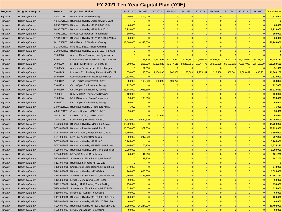### **FY 2021 Ten Year Capital Plan (YOE)**

| FY 2021 Ten Year Capital Plan (YOE) |                                    |                      |                                                                                                       |                       |                           |                      |                |                             |                            |                                    |                                    |                |                      |                          |
|-------------------------------------|------------------------------------|----------------------|-------------------------------------------------------------------------------------------------------|-----------------------|---------------------------|----------------------|----------------|-----------------------------|----------------------------|------------------------------------|------------------------------------|----------------|----------------------|--------------------------|
| Program                             | <b>Program Category</b>            | Project              | <b>Project Description</b>                                                                            | FY 2021               | FY 2022                   | FY 2023              | FY 2024        | FY 2025                     | FY 2026                    | FY 2027                            | FY 2028                            | FY 2029        | FY 2030              | <b>Overall Result</b>    |
| Highw ay                            | Roadw ay/Safety                    |                      | A-020.00R002 MP A20-A26 MicroSurfacing                                                                | 900,000               | 1,472,900                 | 0                    | $\Omega$       |                             | $\mathbf{0}$               | 0                                  | $\vert 0 \vert$                    | 0              |                      | 2,372,900                |
| Highw ay                            | Roadw ay/Safety                    |                      | A-043.77R001 Bituminous Overlay Quakertown I/C Maint                                                  | $\Omega$              | $\Omega$                  | $\vert 0 \vert$      | $\Omega$       | $\Omega$                    | $\Omega$                   | $\vert 0 \vert$                    | $\Omega$                           | $\overline{0}$ |                      |                          |
|                                     | Roadw ay/Safety                    |                      | A-059.00R003 Bituminous Overlay MP A59-A68 (Full)                                                     | 60,000                | $\overline{0}$            | $\Omega$             | $\overline{0}$ | $\Omega$                    | $\Omega$                   | $\mathbf{0}$                       | $\Omega$                           | $\overline{0}$ |                      | 60,000                   |
| Highw ay                            | Roadw ay/Safety                    | A-095.00R003         | Bituminous Overlay MP A95 - A101.3                                                                    | 8,920,000             | 0                         | $\Omega$             | $\Omega$       | $\Omega$                    | $\Omega$                   | $\Omega$                           | $\vert 0 \vert$                    | $\Omega$       |                      | 8,920,000                |
| Highw ay                            | Roadw ay/Safety                    |                      | A-095.00R004 MP A95-A98 Pavement Rehabilitation                                                       | 600,000               | $\overline{0}$            | 0                    | $\Omega$       | $\Omega$                    | $\mathbf{0}$               | 0                                  | $\Omega$                           | 0              |                      | 600,000                  |
| Highw ay                            | Roadw ay/Safety                    | A-104.00R001         | Bituminous Overlay MP A104-A115 & Wilkes                                                              | 60,000                | $\overline{0}$            | 0                    | $\Omega$       | $\vert 0 \vert$             | $\overline{0}$             | $\vert 0 \vert$                    | $\vert 0 \vert$                    | 0              |                      | 60,000                   |
| Highw ay<br>Highw ay                | Roadw ay/Safety                    |                      | A-120.40R002 MP A120-A128 Bituminous Overlay                                                          | 12,600,000            | 8,343,000                 | $\Omega$             | $\Omega$       | $\Omega$                    | $\Omega$                   | 0                                  | $\vert 0 \vert$                    | 0              |                      | 20,943,000               |
|                                     | Roadw ay/Safety                    |                      | B-031.00R001 MP B31.09-B35.07 Repair/Grinding                                                         | $\Omega$              | $\Omega$                  | $\Omega$             | $\Omega$       |                             | $\Omega$                   | $\Omega$                           | $\Omega$                           | $\overline{0}$ |                      | $\Omega$                 |
| Highw ay<br>Highw ay                | Roadw ay/Safety                    |                      | C-000.00R002 Bituminous Overlay, C0-1.5, S&S Rep, CMB                                                 | $\overline{0}$        | $\mathbf{0}$              | $\Omega$             | $\overline{0}$ | $\vert 0 \vert$             | $\overline{0}$             | $\vert 0 \vert$                    | $\vert 0 \vert$                    | $\overline{0}$ |                      | $\mathbf{0}$             |
| Highw ay                            | Roadw ay/Safety                    | EN-00028             | Access Ramp Construction - Systemwide                                                                 | $\Omega$              | $\Omega$                  | $\Omega$             | $\Omega$       |                             | $\Omega$                   | $\Omega$                           | $\Omega$                           | $\Omega$       |                      |                          |
| Highw ay                            | Roadw ay/Safety                    | EN-00033             | O/E Roadw ay Paving/Repairs - Systemwide                                                              | $\vert 0 \vert$       | 61,800                    | 19,557,692           | 13,724,651     | 14,136,391                  | 14,560,482                 | 14,997,297                         | 15,447,216                         | 15,910,632     | 16,387,951           | 124,784,112              |
| Highw ay                            | Roadw ay/Safety                    | EN-00039             | Mill and Pave Projects - Systemwide                                                                   | 200,000               | 206,000                   | 40,102,020           | 73,977,618     | 88,239,891                  | 57,847,776                 | 89,912,138                         | 86,583,120                         | 70,597,097     | 72,715,010           | 580,380,669              |
|                                     | Roadw ay/Safety                    | EN-00045             | Attenuator Replacement at Interchanges                                                                | $\Omega$              | 51,500                    | $\Omega$             | $\Omega$       |                             | $\Omega$                   | $\Omega$                           | $\Omega$                           | $\Omega$       |                      | 51,500                   |
| Highw ay                            | Roadw ay/Safety                    | EN-00145             | Northeast Ext. Roadw ay Rehab MP A75-122                                                              | 350,000               | 1,133,000                 | 1,166,990            | 1,202,000      | 1,238,060                   | 1,275,201                  | 1,313,458                          | 1,352,861                          | 1,393,447      | 1,435,251            | 11,860,267               |
| Highw ay                            | Roadw ay/Safety                    | EN-00160             | Conc Median Barrier Install-Systemwide                                                                | 2,520,000             | $\mathbf{0}$              | $\overline{0}$       | $\mathbf{0}$   | $\Omega$                    | $\Omega$                   | 0                                  | $\Omega$                           | $\overline{0}$ |                      | 2,520,000                |
| Highw ay                            | Roadw ay/Safety                    | EN-00192             |                                                                                                       | 50,000                | 103,000                   | 106,090              | 109,273        | $\Omega$                    | 0                          | 0                                  | $\Omega$                           | 0              |                      | 368,363                  |
| Highw ay                            |                                    | EN-00233             | <b>Truck Parking Improvement Study</b><br>CY 19 Open End Roadw ay Paving                              | 727,000               | $\overline{0}$            | $\Omega$             | $\Omega$       | $\Omega$                    | $\overline{0}$             | $\vert 0 \vert$                    | $\vert 0 \vert$                    | 0              |                      | 727,000                  |
| Highw ay                            | Roadw ay/Safety                    |                      |                                                                                                       |                       |                           | $\Omega$             | $\Omega$       | $\Omega$                    | $\Omega$                   | 0                                  | $\vert 0 \vert$                    | 0              |                      |                          |
| Highw ay                            | Roadw ay/Safety                    | EN-00250<br>EN-00251 | CY 20 Open End Roadway Paving                                                                         | 15,845,000<br>100,000 | 1,083,560<br>$\Omega$     | 0                    | $\Omega$       | $\Omega$                    | $\Omega$                   | 0                                  | $\vert 0 \vert$                    | 0              |                      | 16,928,560<br>100,000    |
| Highw ay                            | Roadw ay/Safety                    | EN-00274             | DSN FY 20 O/E Engineering Services                                                                    |                       | 103,000                   | $\Omega$             | $\overline{0}$ | $\Omega$                    | $\overline{0}$             | $\vert 0 \vert$                    | $\vert 0 \vert$                    | $\overline{0}$ |                      | 193,000                  |
| Highw ay                            | Roadw ay/Safety                    | EN-00277             | MP A116 Access Ramp Construction                                                                      | 90,000<br>60,000      | $\mathbf{0}$              | $\Omega$             | $\Omega$       | $\Omega$                    | $\mathbf{0}$               | 0                                  | $\vert 0 \vert$                    | $\overline{0}$ |                      | 60,000                   |
| Highw ay                            | Roadw ay/Safety                    | G-007.10R001         | CY 21 Open End Roadw ay Paving<br>Bituminous Overlay Greensburg Maint.                                | 75,000                | $\overline{0}$            | $\overline{0}$       | $\Omega$       | $\Omega$                    | 0                          | 0                                  | $\vert 0 \vert$                    | 0              |                      | 75,000                   |
| Highw ay                            | Roadw ay/Safety                    |                      |                                                                                                       |                       | $\mathbf{0}$              | $\Omega$             | $\overline{0}$ | $\Omega$                    | $\overline{0}$             | $\vert 0 \vert$                    | $\vert 0 \vert$                    | 0              |                      |                          |
| Highw ay                            | Roadw ay/Safety                    | M-000.00R001         | Concrete Repairs MP M0.0 - M8.3                                                                       | 55,000<br>$\Omega$    | $\overline{0}$            |                      | $\Omega$       | $\Omega$                    | $\Omega$                   | $\Omega$                           | $\vert 0 \vert$                    | $\Omega$       |                      | 55,000                   |
| Highw ay                            | Roadw ay/Safety                    | M-013.00R001         | Diamond Grinding MP M13 - M30                                                                         |                       |                           | 63,654<br>$\Omega$   | $\Omega$       | $\Omega$                    | $\Omega$                   | $\mathbf{0}$                       | $\Omega$                           | $\overline{0}$ |                      | 63,654                   |
| Highw ay                            | Roadw ay/Safety                    |                      | M-034.90R001 Concrete Repair MP M34.86-36.93                                                          | 4,670,000             | 5,582,600<br>$\mathbf{0}$ | $\overline{0}$       | $\overline{0}$ | $\vert 0 \vert$             | $\overline{0}$             | $\vert 0 \vert$                    | $\vert 0 \vert$                    | 0              |                      | 10,252,600<br>14,290,000 |
| Highw ay                            | Roadw ay/Safety                    | T-002.30R001         | Bituminous Overlay, MP 2.3-9.3 (SMA)                                                                  | 14,290,000            |                           | $\Omega$             | $\Omega$       | $\Omega$                    | $\Omega$                   | $\Omega$                           |                                    |                |                      |                          |
| Highw ay                            | Roadw ay/Safety                    | T-009.00R001         | Bituminous Resurfacing MP9 - 19                                                                       | 18,550,000            | 2,379,300                 | 0                    | $\overline{0}$ | $\Omega$                    | $\Omega$                   |                                    | $\vert 0 \vert$<br>$\vert 0 \vert$ | 0              |                      | 20,929,300               |
| Highw ay                            | Roadw ay/Safety                    |                      | T-047.00R001 Bit Resurfacing, Allegheny Val IC, 47.73                                                 | 3,690,000             | $\mathbf{0}$              | 0                    | $\Omega$       | $\overline{0}$              | 0                          | 0 <br>$\vert 0 \vert$              | $\vert 0 \vert$                    | 0 <br> 0       |                      | 3,690,000                |
| Highw ay                            | Roadw ay/Safety                    |                      | T-047.00R002 MP 47-56 Asphalt Resurfacing                                                             | 60,000                | 247,200<br>$\Omega$       | $\Omega$             | $\Omega$       | $\Omega$                    | $\Omega$                   | $\vert 0 \vert$                    | $\vert 0 \vert$                    | 0              |                      | 307,200<br>5,265,000     |
| Highw ay                            | Roadw ay/Safety                    | T-057.00R002         | Bituminous Overlay MP 57 - 67                                                                         | 5,265,000             |                           | $\Omega$             | $\Omega$       |                             | $\Omega$                   | $\mathbf{0}$                       | $\Omega$                           | $\mathbf{0}$   |                      |                          |
| Highw ay                            | Roadw ay/Safety                    |                      | T-067.00R002 Bituminous Overlay MP 67-75 SMA & New                                                    | 1,105,000             | 2,270,120                 |                      | $\overline{0}$ |                             |                            |                                    |                                    |                |                      | 3,375,120                |
| Highw ay                            | Roadw ay/Safety                    |                      | T-085.00R003 Bituminous Overlay, MP 85-94 & Slope Reh                                                 | 9,990,000             | $\mathbf{0}$              | $\overline{0}$<br> 0 | $\Omega$       | $\vert 0 \vert$<br>$\Omega$ | $\overline{0}$<br>$\Omega$ | $\vert 0 \vert$<br>$\vert 0 \vert$ | $\vert 0 \vert$<br>$\vert 0 \vert$ | 0 <br> 0       |                      | 9,990,000<br>101,200     |
| Highw ay                            | Roadw ay/Safety                    |                      | T-094.00R002 MP 94-99 Asphalt Resurfacing                                                             | 60,000<br>$\Omega$    | 41,200                    | 0                    | $\overline{0}$ | $\Omega$                    | 0                          | $\vert 0 \vert$                    | $\vert 0 \vert$                    | 0              |                      | 247,200                  |
| Highw ay                            | Roadw ay/Safety                    |                      | T-109.00R003 Shoulder and Slope Repairs, MP 109-123                                                   | $\Omega$              | 247,200<br>$\overline{0}$ | 0                    | $\Omega$       | $\Omega$                    | 0                          | $\mathbf{0}$                       | $\vert 0 \vert$                    | 0              |                      | $\mathbf{0}$             |
| Highw ay                            | Roadw ay/Safety                    |                      | T-123.00R001 Bituminous Surfacing MP 123-128<br>T-129.30R001 Shoulder and Slope Repairs, MP 129.3-130 | 540,000               | $\Omega$                  | $\Omega$             | $\Omega$       |                             |                            | $\Omega$                           |                                    |                |                      | 540,000                  |
| Highw ay                            | Roadw ay/Safety                    |                      |                                                                                                       |                       |                           |                      |                |                             |                            |                                    |                                    |                |                      |                          |
| Highw ay                            | Roadw ay/Safety                    |                      | T-142.00R002 Bituminous Overlay, MP 142-149                                                           | 240,000               | 1,086,650                 | 0                    | $\overline{0}$ | $\vert 0 \vert$             | 0                          | 0                                  | $\vert 0 \vert$                    | 0              |                      | 1,326,650                |
| Highw ay                            | Roadw ay/Safety                    |                      | T-148.50R001 Shoulder and Slope Repairs, MP 148.5-159                                                 | 7,495,000             | 4,866,750                 | 0                    | 0              | $\vert 0 \vert$<br>$\Omega$ | 0                          | $\vert 0 \vert$<br>$\vert 0 \vert$ | $\vert 0 \vert$<br>$\vert 0 \vert$ | 0              |                      | 12,361,750               |
| Highw ay                            | Roadw ay/Safety                    |                      | T-161.50R001 MP C0-1.5 Shoulder & Slope Repair                                                        | 60,000                | 0 <br> 0                  | 0 <br> 0             | 0 <br> 0       | $\overline{0}$              | 0                          | $\overline{0}$                     | $\vert 0 \vert$                    | 0              |                      | 60,000                   |
| Highw ay                            | Roadw ay/Safety                    |                      | T-172.27R001 Sideling Hill SP Auxiliary Truck Parking                                                 | 150,000               | 0                         | 0                    | 0              | $\vert 0 \vert$             | 0                          |                                    | $\vert 0 \vert$                    | 0 <br> 0       | $\Omega$             | 150,000                  |
| Highw ay                            | Roadw ay/Safety                    |                      | T-174.00R002 Shoulder and Slope Repairs, MP 174-180                                                   | 525,000               |                           |                      |                |                             | 0                          | 0                                  |                                    |                |                      | 525,000                  |
| Highw ay                            | Roadw ay/Safety                    |                      | T-180.00R002 MP 180-184 Asphalt Resurfacing                                                           | 60,000                | 0                         | 0 <br> 0             | 0 <br> 0       | $\Omega$<br>$\overline{0}$  | 0                          | 0 <br> 0                           | $\vert 0 \vert$<br>$\vert 0 \vert$ | 0              | $\Omega$<br>$\Omega$ | 60,000                   |
| Highw ay                            | Roadw ay/Safety                    |                      | T-197.00R001 Bituminous Overlay MP 197-202 SMA, Blue                                                  | 200,000               | 0 <br> 0                  |                      | $\overline{0}$ | $\vert 0 \vert$             | 0                          | $\vert 0 \vert$                    | $\vert 0 \vert$                    | 0              |                      | 200,000                  |
| Highw ay                            | Roadw ay/Safety                    |                      | T-215.00R001 Bituminous Overlay MP 215-220 SMA, Repro                                                 | 60,000                |                           | 0 <br> 0             |                | $\vert 0 \vert$             | 0 <br> 0                   |                                    | 0                                  | 0              | $\Omega$             | 60,000                   |
| Highw ay                            | Roadw ay/Safety<br>Roadw ay/Safety |                      | T-226.00R002 Bituminous Overlay MP 226-235, Repro 228                                                 | 1,250,000<br>60,000   | 15,244,000<br> 0          | 0                    | 0 <br> 0       | 0                           | 0                          | 0 <br> 0                           | 0                                  | 0 <br> 0       | $\Omega$             | 16,494,000<br>60,000     |
| Highw ay                            |                                    |                      | T-235.00R002 MP 235-242 Asphalt Resurfacing                                                           |                       |                           |                      |                |                             |                            |                                    |                                    |                |                      |                          |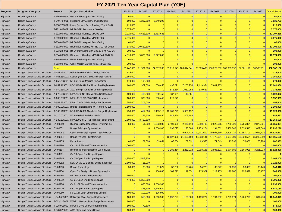# **FY 2021 Ten Year Capital Plan (YOE)**

| Program<br>Highw ay<br>Highw ay<br>Highw ay<br>Highw ay<br>Highw ay<br>Highw ay<br>Highw ay<br>Highw ay<br>Highw ay<br>Highw ay<br>Highw ay<br>Highw ay<br>Highw ay<br>Highw ay<br>Highw ay<br>Highw ay<br>Highw ay<br>Highw ay<br>Highw ay<br>Highw ay<br>Highw ay<br>Highw ay | <b>Program Category</b><br>Roadw ay/Safety<br>Roadw ay/Safety<br>Roadw ay/Safety<br>Roadw ay/Safety<br>Roadw ay/Safety<br>Roadw ay/Safety<br>Roadw ay/Safety<br>Roadw ay/Safety<br>Roadw ay/Safety<br>Roadw ay/Safety<br>Roadw ay/Safety<br>Roadw ay/Safety<br>Roadw ay/Safety<br>Bridge, Tunnels & Misc Structure   A-043.91S001   Rehabilitation of Ramp Bridge NB-216<br>Bridge, Tunnels & Misc Structure A-051.36S002 Design (NB-326/327/328 Bridge Painting) | Project<br>T-246.00R001<br>T-249.70R001<br>T-258.77R001<br><b>Result</b> | FY 2021 Ten Year Capital Plan (YOE)<br><b>Project Description</b><br>MP 246-255 Asphalt Resurfacing<br>Highspire SP Auxiliary Truck Parking<br>Lawn Service Plaza Auxiliary Truck Parki<br>T-282.00R002 MP 282-292 Bituminous Overlay<br>T-292.00R002 Bituminous Overlay, MP 292-299<br>T-299.00R002 Bituminous Overlay, MP 299-306<br>T-306.00R003 MP 306-312 Asphalt Resurfacing<br>T-312.00R002 Bituminous Overlay MP 312-319 Full Depth<br>T-333.28R001 Bit Overlay NorrisIC MP333.28 & MPA20-26<br>T-334.00R002   Bituminous Overlay, MP 334-340, CMB, Ft<br>T-345.00R001 MP 345-355 Asphalt Resurfacing | FY 2021<br>60,000<br>100,000<br>215,000<br>5,375,000<br>1,210,000<br>7,875,000<br>60,000<br>545,000<br>200,000<br>4,310,000 | FY 2022<br>$\Omega$<br>1,287,500<br>$\vert 0 \vert$<br>$\Omega$<br>5,623,800<br>$\Omega$<br>$\Omega$<br>10,660,500<br>$\Omega$ | FY 2023<br>$\Omega$<br>5,649,293<br>$\mathbf 0$<br>$\Omega$<br>5,463,635<br>$\vert 0 \vert$<br>$\Omega$ | FY 2024<br> 0 <br>$\Omega$<br>$\overline{0}$<br>$\Omega$<br>$\Omega$<br> 0 <br>$\Omega$ | FY 2025<br>$\Omega$<br>$\Omega$ | FY 2026<br>$\overline{0}$<br> 0 <br>$\overline{0}$<br>$\Omega$<br>$\Omega$<br>$\overline{0}$ | FY 2027<br> 0 <br>$\Omega$<br>$\mathbf{0}$<br> 0 <br>$\Omega$<br> 0 | FY 2028<br>$\Omega$<br>$\Omega$<br>$\Omega$<br>$\Omega$<br>$\Omega$ | FY 2029<br> 0 <br>$\mathbf{0}$<br>$\mathbf{0}$<br>$\overline{0}$<br> 0 | FY 2030    | <b>Overall Result</b><br>60,000<br>7,036,793<br>215,000 |
|---------------------------------------------------------------------------------------------------------------------------------------------------------------------------------------------------------------------------------------------------------------------------------|-------------------------------------------------------------------------------------------------------------------------------------------------------------------------------------------------------------------------------------------------------------------------------------------------------------------------------------------------------------------------------------------------------------------------------------------------------------------|--------------------------------------------------------------------------|---------------------------------------------------------------------------------------------------------------------------------------------------------------------------------------------------------------------------------------------------------------------------------------------------------------------------------------------------------------------------------------------------------------------------------------------------------------------------------------------------------------------------------------------------------------------------------------------------------------|-----------------------------------------------------------------------------------------------------------------------------|--------------------------------------------------------------------------------------------------------------------------------|---------------------------------------------------------------------------------------------------------|-----------------------------------------------------------------------------------------|---------------------------------|----------------------------------------------------------------------------------------------|---------------------------------------------------------------------|---------------------------------------------------------------------|------------------------------------------------------------------------|------------|---------------------------------------------------------|
|                                                                                                                                                                                                                                                                                 |                                                                                                                                                                                                                                                                                                                                                                                                                                                                   |                                                                          |                                                                                                                                                                                                                                                                                                                                                                                                                                                                                                                                                                                                               |                                                                                                                             |                                                                                                                                |                                                                                                         |                                                                                         |                                 |                                                                                              |                                                                     |                                                                     |                                                                        |            |                                                         |
|                                                                                                                                                                                                                                                                                 |                                                                                                                                                                                                                                                                                                                                                                                                                                                                   |                                                                          |                                                                                                                                                                                                                                                                                                                                                                                                                                                                                                                                                                                                               |                                                                                                                             |                                                                                                                                |                                                                                                         |                                                                                         |                                 |                                                                                              |                                                                     |                                                                     |                                                                        |            |                                                         |
|                                                                                                                                                                                                                                                                                 |                                                                                                                                                                                                                                                                                                                                                                                                                                                                   |                                                                          |                                                                                                                                                                                                                                                                                                                                                                                                                                                                                                                                                                                                               |                                                                                                                             |                                                                                                                                |                                                                                                         |                                                                                         |                                 |                                                                                              |                                                                     |                                                                     |                                                                        |            |                                                         |
|                                                                                                                                                                                                                                                                                 |                                                                                                                                                                                                                                                                                                                                                                                                                                                                   |                                                                          |                                                                                                                                                                                                                                                                                                                                                                                                                                                                                                                                                                                                               |                                                                                                                             |                                                                                                                                |                                                                                                         |                                                                                         |                                 |                                                                                              |                                                                     |                                                                     |                                                                        |            |                                                         |
|                                                                                                                                                                                                                                                                                 |                                                                                                                                                                                                                                                                                                                                                                                                                                                                   |                                                                          |                                                                                                                                                                                                                                                                                                                                                                                                                                                                                                                                                                                                               |                                                                                                                             |                                                                                                                                |                                                                                                         |                                                                                         |                                 |                                                                                              |                                                                     |                                                                     |                                                                        |            | 5,375,000                                               |
|                                                                                                                                                                                                                                                                                 |                                                                                                                                                                                                                                                                                                                                                                                                                                                                   |                                                                          |                                                                                                                                                                                                                                                                                                                                                                                                                                                                                                                                                                                                               |                                                                                                                             |                                                                                                                                |                                                                                                         |                                                                                         |                                 |                                                                                              |                                                                     |                                                                     |                                                                        |            | 12,297,435                                              |
|                                                                                                                                                                                                                                                                                 |                                                                                                                                                                                                                                                                                                                                                                                                                                                                   |                                                                          |                                                                                                                                                                                                                                                                                                                                                                                                                                                                                                                                                                                                               |                                                                                                                             |                                                                                                                                |                                                                                                         |                                                                                         |                                 |                                                                                              |                                                                     | $\Omega$                                                            | $\mathbf{0}$                                                           |            | 7,875,000                                               |
|                                                                                                                                                                                                                                                                                 |                                                                                                                                                                                                                                                                                                                                                                                                                                                                   |                                                                          |                                                                                                                                                                                                                                                                                                                                                                                                                                                                                                                                                                                                               |                                                                                                                             |                                                                                                                                |                                                                                                         |                                                                                         |                                 | $\Omega$                                                                                     | $\Omega$                                                            | $\Omega$                                                            | $\overline{0}$                                                         |            | 60,000                                                  |
|                                                                                                                                                                                                                                                                                 |                                                                                                                                                                                                                                                                                                                                                                                                                                                                   |                                                                          |                                                                                                                                                                                                                                                                                                                                                                                                                                                                                                                                                                                                               |                                                                                                                             |                                                                                                                                | $\Omega$                                                                                                | $\Omega$                                                                                |                                 | $\Omega$                                                                                     | $\Omega$                                                            | $\Omega$                                                            | $\mathbf{0}$                                                           |            | 11,205,500                                              |
|                                                                                                                                                                                                                                                                                 |                                                                                                                                                                                                                                                                                                                                                                                                                                                                   |                                                                          |                                                                                                                                                                                                                                                                                                                                                                                                                                                                                                                                                                                                               |                                                                                                                             |                                                                                                                                | $\vert 0 \vert$                                                                                         | 0                                                                                       | $\Omega$                        | $\overline{0}$                                                                               | 0                                                                   | $\Omega$                                                            | $\mathbf{0}$                                                           |            | 200,000                                                 |
|                                                                                                                                                                                                                                                                                 |                                                                                                                                                                                                                                                                                                                                                                                                                                                                   |                                                                          |                                                                                                                                                                                                                                                                                                                                                                                                                                                                                                                                                                                                               |                                                                                                                             | 9,836,500                                                                                                                      | 2,227,890                                                                                               | 0                                                                                       | $\Omega$                        | 0                                                                                            | 0                                                                   | 0                                                                   | 0                                                                      |            | 16,374,390                                              |
|                                                                                                                                                                                                                                                                                 |                                                                                                                                                                                                                                                                                                                                                                                                                                                                   |                                                                          |                                                                                                                                                                                                                                                                                                                                                                                                                                                                                                                                                                                                               | 60,000                                                                                                                      |                                                                                                                                | $\Omega$                                                                                                | 0                                                                                       | $\Omega$                        | $\Omega$                                                                                     | $\Omega$                                                            | $\Omega$                                                            | 0                                                                      |            | 60,000                                                  |
|                                                                                                                                                                                                                                                                                 |                                                                                                                                                                                                                                                                                                                                                                                                                                                                   |                                                                          | T-353.00R002 Conc. Median Barrier Install, MP353-355                                                                                                                                                                                                                                                                                                                                                                                                                                                                                                                                                          | 200,000                                                                                                                     | $\Omega$                                                                                                                       | $\vert 0 \vert$                                                                                         | 0                                                                                       |                                 | $\Omega$                                                                                     | 0                                                                   | $\Omega$                                                            | $\overline{0}$                                                         |            | 200,000                                                 |
|                                                                                                                                                                                                                                                                                 |                                                                                                                                                                                                                                                                                                                                                                                                                                                                   |                                                                          |                                                                                                                                                                                                                                                                                                                                                                                                                                                                                                                                                                                                               | 131,742,000                                                                                                                 | 71,931,080                                                                                                                     | 74,337,263                                                                                              |                                                                                         | 89,013,541 103,614,341          |                                                                                              | 73,683,460 106,222,892 103,383,197                                  |                                                                     | 87.901.176                                                             | 90.538.21  | 932,367,162                                             |
|                                                                                                                                                                                                                                                                                 |                                                                                                                                                                                                                                                                                                                                                                                                                                                                   |                                                                          |                                                                                                                                                                                                                                                                                                                                                                                                                                                                                                                                                                                                               | 325,000                                                                                                                     | $\Omega$                                                                                                                       | $\Omega$                                                                                                | $\Omega$                                                                                |                                 | $\overline{0}$                                                                               | $\Omega$                                                            | $\Omega$                                                            | $\mathbf{0}$                                                           |            | 325,000                                                 |
|                                                                                                                                                                                                                                                                                 |                                                                                                                                                                                                                                                                                                                                                                                                                                                                   |                                                                          |                                                                                                                                                                                                                                                                                                                                                                                                                                                                                                                                                                                                               | 1,150,000                                                                                                                   | $\Omega$                                                                                                                       | $\vert 0 \vert$                                                                                         | 0                                                                                       | $\Omega$                        | 0                                                                                            | 0                                                                   | $\Omega$                                                            | $\mathbf{0}$                                                           |            | 1,150,000                                               |
|                                                                                                                                                                                                                                                                                 |                                                                                                                                                                                                                                                                                                                                                                                                                                                                   |                                                                          | Bridge, Tunnels & Misc Structure   A-059.22S001   NB-363 Rapid Mainline Replacement                                                                                                                                                                                                                                                                                                                                                                                                                                                                                                                           | 170,000                                                                                                                     | 103,000                                                                                                                        | 0                                                                                                       | 0                                                                                       |                                 | $\overline{0}$                                                                               | $\Omega$                                                            | 0                                                                   | 0                                                                      |            | 273,000                                                 |
|                                                                                                                                                                                                                                                                                 |                                                                                                                                                                                                                                                                                                                                                                                                                                                                   |                                                                          | Bridge, Tunnels & Misc Structure   A-059.41S001   NB-364/NB-376 Rapid Mainline Replacement                                                                                                                                                                                                                                                                                                                                                                                                                                                                                                                    | 100,000                                                                                                                     | 309,000                                                                                                                        | 530,450                                                                                                 | 437,091                                                                                 | 7,203,256                       | 7,419,354                                                                                    | 7,641,935                                                           | $\Omega$                                                            | 0                                                                      |            | 23,641,086                                              |
|                                                                                                                                                                                                                                                                                 |                                                                                                                                                                                                                                                                                                                                                                                                                                                                   |                                                                          | Bridge, Tunnels & Misc Structure   A-070.26S006   2021 Lehigh Tunnel In-Depth Insp/Rehab                                                                                                                                                                                                                                                                                                                                                                                                                                                                                                                      | 0                                                                                                                           | $\Omega$                                                                                                                       | $\vert 0 \vert$                                                                                         | 546,364                                                                                 | 1,012,958                       | 579,637                                                                                      | $\Omega$                                                            | $\Omega$                                                            | $\mathbf{0}$                                                           |            | 2,138,958                                               |
|                                                                                                                                                                                                                                                                                 |                                                                                                                                                                                                                                                                                                                                                                                                                                                                   |                                                                          | Bridge, Tunnels & Misc Structure A-072.52S001 MP A72.52 NB-605 Mainline Replacement                                                                                                                                                                                                                                                                                                                                                                                                                                                                                                                           | 100,000                                                                                                                     | 412,000                                                                                                                        | 530,450                                                                                                 | 437,091                                                                                 | 112,551                         | 0                                                                                            | $\Omega$                                                            | $\Omega$                                                            | $\mathbf{0}$                                                           |            | 1,592,092                                               |
|                                                                                                                                                                                                                                                                                 |                                                                                                                                                                                                                                                                                                                                                                                                                                                                   |                                                                          | Bridge, Tunnels & Misc Structure   A-083.88S001   MP A-83.88 NB-550 OH Replacement                                                                                                                                                                                                                                                                                                                                                                                                                                                                                                                            | 100,000                                                                                                                     | 309,000                                                                                                                        | 530,450                                                                                                 | 218,545                                                                                 | $\Omega$                        | $\overline{0}$                                                                               | 0                                                                   | $\Omega$                                                            | $\mathbf{0}$                                                           |            | 1,157,995                                               |
|                                                                                                                                                                                                                                                                                 |                                                                                                                                                                                                                                                                                                                                                                                                                                                                   |                                                                          | Bridge, Tunnels & Misc Structure   A-088.59S001   NB-610 Haw k Falls Bridge Replacement                                                                                                                                                                                                                                                                                                                                                                                                                                                                                                                       | 250,000                                                                                                                     | 206,000                                                                                                                        | $\mathbf 0$                                                                                             | $\mathbf{0}$                                                                            | $\Omega$                        | $\overline{0}$                                                                               | 0                                                                   | $\Omega$                                                            | $\mathbf{0}$                                                           |            | 456,000                                                 |
|                                                                                                                                                                                                                                                                                 |                                                                                                                                                                                                                                                                                                                                                                                                                                                                   |                                                                          | Bridge, Tunnels & Misc Structure   A-099.00S001   Bridge Rehabilitations MP A-99 to A-128                                                                                                                                                                                                                                                                                                                                                                                                                                                                                                                     | 2,100,000                                                                                                                   | $\Omega$                                                                                                                       | $\Omega$                                                                                                | $\Omega$                                                                                |                                 | 0                                                                                            | 0                                                                   | $\Omega$                                                            | 0                                                                      |            | 2,100,000                                               |
| Highw ay                                                                                                                                                                                                                                                                        |                                                                                                                                                                                                                                                                                                                                                                                                                                                                   |                                                                          | Bridge, Tunnels & Misc Structure A-105.11S001 NB-637/NB-638 Overhead Bridge Replacemnt                                                                                                                                                                                                                                                                                                                                                                                                                                                                                                                        | 250,000                                                                                                                     | 412,000                                                                                                                        | 2,493,115                                                                                               | 10,708,725                                                                              | 5,965,197                       | $\overline{0}$                                                                               | 0                                                                   | $\Omega$                                                            | $\mathbf{0}$                                                           |            | 19,829,036                                              |
| Highw ay                                                                                                                                                                                                                                                                        | Bridge, Tunnels & Misc Structure   A-110.00S001   Widen/redeck Mainline NB-647                                                                                                                                                                                                                                                                                                                                                                                    |                                                                          |                                                                                                                                                                                                                                                                                                                                                                                                                                                                                                                                                                                                               | 150,000                                                                                                                     | 257,500                                                                                                                        | 530,450                                                                                                 | 546,364                                                                                 | 405,183                         | $\Omega$                                                                                     | $\Omega$                                                            | $\Omega$                                                            | $\mathbf{0}$                                                           |            | 1,889,497                                               |
| Highw ay                                                                                                                                                                                                                                                                        |                                                                                                                                                                                                                                                                                                                                                                                                                                                                   |                                                                          | Bridge, Tunnels & Misc Structure A-130.23S001 MP A130.23 NB-751 Mainline Replacement                                                                                                                                                                                                                                                                                                                                                                                                                                                                                                                          | 9,600,000                                                                                                                   | 3,759,500                                                                                                                      | $\vert 0 \vert$                                                                                         | 0                                                                                       |                                 | $\Omega$                                                                                     | $\Omega$                                                            | $\Omega$                                                            | $\overline{0}$                                                         |            | 13,359,500                                              |
| Highw ay                                                                                                                                                                                                                                                                        | Bridge, Tunnels & Misc Structure EN-00050                                                                                                                                                                                                                                                                                                                                                                                                                         |                                                                          | Biennial Bridge Inspection - Systemwide                                                                                                                                                                                                                                                                                                                                                                                                                                                                                                                                                                       | 50,000                                                                                                                      | 51,500                                                                                                                         | 2,333,980                                                                                               | 2,403,999                                                                               | 2,476,119                       | 2,550,403                                                                                    | 2,626,915                                                           | 2,705,723                                                           | 2,786,894                                                              | 2,870,501  | 20,856,034                                              |
| Highw ay                                                                                                                                                                                                                                                                        | Bridge, Tunnels & Misc Structure EN-00051                                                                                                                                                                                                                                                                                                                                                                                                                         |                                                                          | Bridge Painting - Systemwide                                                                                                                                                                                                                                                                                                                                                                                                                                                                                                                                                                                  | 0                                                                                                                           | $\Omega$                                                                                                                       | 1,060,900                                                                                               | 1,092,727                                                                               | 1,125,509                       | 1,159,274                                                                                    | 1,194,052                                                           | 2,459,748                                                           | 2,533,540                                                              | 2,609,546  | 13,235,296                                              |
| Highw ay                                                                                                                                                                                                                                                                        | Bridge, Tunnels & Misc Structure EN-00052                                                                                                                                                                                                                                                                                                                                                                                                                         |                                                                          | Open-End Bridge Repairs - Systemwide                                                                                                                                                                                                                                                                                                                                                                                                                                                                                                                                                                          | 0                                                                                                                           | $\Omega$                                                                                                                       | $\Omega$                                                                                                | $\Omega$                                                                                | 9,904,478                       | 10,201,612                                                                                   | 10,507,660                                                          | 12,298,739                                                          | 12,667,701                                                             | 13,047,732 | 68,627,921                                              |
| Highw ay                                                                                                                                                                                                                                                                        | Bridge, Tunnels & Misc Structure EN-00054                                                                                                                                                                                                                                                                                                                                                                                                                         |                                                                          | Bridge Projects - Systemwide                                                                                                                                                                                                                                                                                                                                                                                                                                                                                                                                                                                  | 0                                                                                                                           | $\Omega$                                                                                                                       | 0                                                                                                       | 16,827,996                                                                              | 21,452,198                      | 42,893,141                                                                                   | 44,776,961                                                          | 49,637,709                                                          | 63,338,504                                                             | 65,238,659 | 304, 165, 168                                           |
| Highw ay                                                                                                                                                                                                                                                                        | Bridge, Tunnels & Misc Structure EN-00155                                                                                                                                                                                                                                                                                                                                                                                                                         |                                                                          | Permit Loads                                                                                                                                                                                                                                                                                                                                                                                                                                                                                                                                                                                                  | 60,000                                                                                                                      | 61,800                                                                                                                         | 63,654                                                                                                  | 65,564                                                                                  | 67,531                          | 69,556                                                                                       | 71,643                                                              | 73,792                                                              | 76,006                                                                 | 78,286     | 687,833                                                 |
| Highw ay                                                                                                                                                                                                                                                                        | Bridge, Tunnels & Misc Structure   EN-00196                                                                                                                                                                                                                                                                                                                                                                                                                       |                                                                          | CY 18-19 Biennial Tunnel Inspection                                                                                                                                                                                                                                                                                                                                                                                                                                                                                                                                                                           | 1,000,000                                                                                                                   | $\Omega$                                                                                                                       | $\Omega$                                                                                                | $\Omega$                                                                                |                                 | $\Omega$                                                                                     | $\Omega$                                                            | $\Omega$                                                            | $\overline{0}$                                                         |            | 1,000,000                                               |
| Highw ay                                                                                                                                                                                                                                                                        | Bridge, Tunnels & Misc Structure   EN-00197                                                                                                                                                                                                                                                                                                                                                                                                                       |                                                                          | Biennial Tunnel Inspection Systemwide                                                                                                                                                                                                                                                                                                                                                                                                                                                                                                                                                                         | 0                                                                                                                           | $\Omega$                                                                                                                       | $\vert 0 \vert$                                                                                         | 2,185,454                                                                               | 2,251,018                       | 2,898,185                                                                                    | 2,985,131                                                           | 3,074,685                                                           | 3,166,925                                                              | 3,261,933  | 19,823,330                                              |
| Highw ay                                                                                                                                                                                                                                                                        | Bridge, Tunnels & Misc Structure EN-00231                                                                                                                                                                                                                                                                                                                                                                                                                         |                                                                          | CY 19 Open End Bridge Repairs                                                                                                                                                                                                                                                                                                                                                                                                                                                                                                                                                                                 | 0                                                                                                                           | $\Omega$                                                                                                                       | $\vert 0 \vert$                                                                                         | 0                                                                                       |                                 | $\overline{0}$                                                                               | $\Omega$                                                            | $\Omega$                                                            | $\mathbf{0}$                                                           |            |                                                         |
| Highw ay                                                                                                                                                                                                                                                                        | Bridge, Tunnels & Misc Structure EN-00245                                                                                                                                                                                                                                                                                                                                                                                                                         |                                                                          | CY 20 Open End Bridge Repairs                                                                                                                                                                                                                                                                                                                                                                                                                                                                                                                                                                                 | 4,950,000                                                                                                                   | 2,513,200                                                                                                                      | $\Omega$                                                                                                | 0                                                                                       |                                 | $\Omega$                                                                                     | $\Omega$                                                            | $\Omega$                                                            | $\mathbf{0}$                                                           |            | 7,463,200                                               |
| Highw ay                                                                                                                                                                                                                                                                        | Bridge, Tunnels & Misc Structure EN-00252                                                                                                                                                                                                                                                                                                                                                                                                                         |                                                                          | DSN CY 20-21 Biennial Bridge Inspection                                                                                                                                                                                                                                                                                                                                                                                                                                                                                                                                                                       | 1,600,000                                                                                                                   | 721,000                                                                                                                        | $\vert 0 \vert$                                                                                         | 0                                                                                       | $\Omega$                        | $\Omega$                                                                                     | 0                                                                   | $\Omega$                                                            | $\mathbf{0}$                                                           |            | 2,321,000                                               |
| Highw ay                                                                                                                                                                                                                                                                        | Bridge, Tunnels & Misc Structure EN-00253                                                                                                                                                                                                                                                                                                                                                                                                                         |                                                                          | <b>Bridge Technologies</b>                                                                                                                                                                                                                                                                                                                                                                                                                                                                                                                                                                                    | 30,000                                                                                                                      | 30,900                                                                                                                         | 31,827                                                                                                  | 32,782                                                                                  | 33,765                          | 34,778                                                                                       | 35.822                                                              | 36,896                                                              | 38,003                                                                 | 39.143     | 343,916                                                 |
| Highw ay                                                                                                                                                                                                                                                                        | Bridge, Tunnels & Misc Structure   EN-00254                                                                                                                                                                                                                                                                                                                                                                                                                       |                                                                          | Open End Design - Bridge Systemwide                                                                                                                                                                                                                                                                                                                                                                                                                                                                                                                                                                           | 0                                                                                                                           | $\vert 0 \vert$                                                                                                                | 106,090                                                                                                 | 109,273                                                                                 | 112,551                         | 115,927                                                                                      | 119,405                                                             | 122,987                                                             | 126,677                                                                | 130,477    | 943,388                                                 |
| Highw ay                                                                                                                                                                                                                                                                        | Bridge, Tunnels & Misc Structure   EN-00255                                                                                                                                                                                                                                                                                                                                                                                                                       |                                                                          | FY 20 Open End Bridge Design                                                                                                                                                                                                                                                                                                                                                                                                                                                                                                                                                                                  | 100,000                                                                                                                     | $\vert 0 \vert$                                                                                                                | 0                                                                                                       | 0                                                                                       |                                 | $\mathbf 0$                                                                                  | 0                                                                   | $\mathbf 0$                                                         | 0                                                                      |            | 100,000                                                 |
| Highw ay                                                                                                                                                                                                                                                                        | Bridge, Tunnels & Misc Structure EN-00272                                                                                                                                                                                                                                                                                                                                                                                                                         |                                                                          | CY 21 Open End Bridge Repairs                                                                                                                                                                                                                                                                                                                                                                                                                                                                                                                                                                                 | 440,000                                                                                                                     | 5,356,000                                                                                                                      | 0                                                                                                       | 0                                                                                       | $\vert 0 \vert$                 | 0                                                                                            | 0                                                                   | 0                                                                   | 0                                                                      |            | 5,796,000                                               |
| Highw ay                                                                                                                                                                                                                                                                        | Bridge, Tunnels & Misc Structure EN-00278                                                                                                                                                                                                                                                                                                                                                                                                                         |                                                                          | CY 21-22 Biennial Tunnel Inspection                                                                                                                                                                                                                                                                                                                                                                                                                                                                                                                                                                           | 0                                                                                                                           | 1,030,000                                                                                                                      | 1,060,900                                                                                               | 0                                                                                       | 0                               | 0                                                                                            | 0                                                                   | 0                                                                   | 0                                                                      |            | 2,090,900                                               |
| Highw ay                                                                                                                                                                                                                                                                        | Bridge, Tunnels & Misc Structure EN-00279                                                                                                                                                                                                                                                                                                                                                                                                                         |                                                                          | CY 22 Open End Bridge Repairs                                                                                                                                                                                                                                                                                                                                                                                                                                                                                                                                                                                 | 0                                                                                                                           | 463,500                                                                                                                        | 5,516,680                                                                                               | 0                                                                                       | $\Omega$                        | 0                                                                                            | 0                                                                   | 0                                                                   | 0                                                                      |            | 5,980,180                                               |
| Highw ay                                                                                                                                                                                                                                                                        | Bridge, Tunnels & Misc Structure EN-00280                                                                                                                                                                                                                                                                                                                                                                                                                         |                                                                          | FY 21-24 Open End Bridge Design                                                                                                                                                                                                                                                                                                                                                                                                                                                                                                                                                                               | 100,000                                                                                                                     | 103,000                                                                                                                        | 106,090                                                                                                 | 0                                                                                       |                                 | 0                                                                                            | 0                                                                   | 0                                                                   | 0                                                                      |            | 309,090                                                 |
| Highw ay                                                                                                                                                                                                                                                                        |                                                                                                                                                                                                                                                                                                                                                                                                                                                                   |                                                                          | Bridge, Tunnels & Misc Structure H-043.40S001 Delaw are River Bridge Replacement                                                                                                                                                                                                                                                                                                                                                                                                                                                                                                                              | 100,000                                                                                                                     | 515,000                                                                                                                        | 1,060,900                                                                                               | 1,092,727                                                                               | 1,125,509                       | 1,159,274                                                                                    | 1,194,052                                                           | 1,229,874                                                           | 1,266,770                                                              | 1,304,773  | 10,048,879                                              |
| Highw ay                                                                                                                                                                                                                                                                        |                                                                                                                                                                                                                                                                                                                                                                                                                                                                   |                                                                          | Bridge, Tunnels & Misc Structure   T-013.21S001   WB-211 Beaver River Bridge Replacement                                                                                                                                                                                                                                                                                                                                                                                                                                                                                                                      | 100,000                                                                                                                     | $\vert 0 \vert$                                                                                                                | $\vert 0 \vert$                                                                                         | $\mathbf{0}$                                                                            |                                 | $\mathbf 0$                                                                                  | $\vert 0 \vert$                                                     | $\mathbf 0$                                                         | 0                                                                      |            | 100,000                                                 |
| Highw ay                                                                                                                                                                                                                                                                        |                                                                                                                                                                                                                                                                                                                                                                                                                                                                   |                                                                          | Bridge, Tunnels & Misc Structure   T-028.01S002   MP 28.01 WB-308 Overhead Bridge                                                                                                                                                                                                                                                                                                                                                                                                                                                                                                                             | 100,000                                                                                                                     | 772,500                                                                                                                        | 0                                                                                                       | 0                                                                                       | $\Omega$                        | 0                                                                                            | 0                                                                   | 0                                                                   | 0                                                                      |            | 872,500                                                 |
| Highw ay                                                                                                                                                                                                                                                                        |                                                                                                                                                                                                                                                                                                                                                                                                                                                                   |                                                                          | Bridge, Tunnels & Misc Structure   T-048.02S003   ARB Slope and Crack Repair                                                                                                                                                                                                                                                                                                                                                                                                                                                                                                                                  | 100,000                                                                                                                     | $\vert 0 \vert$                                                                                                                | 0                                                                                                       | 0                                                                                       |                                 |                                                                                              |                                                                     |                                                                     |                                                                        |            |                                                         |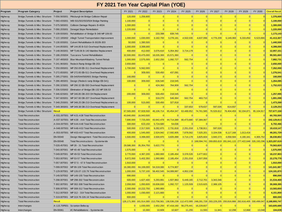#### **Program Program Category Project Project Description** FY 2021 FY 2022 FY 2023 FY 2024 FY 2025 FY 2026 FY 2027 FY 2028 FY 2029 FY 2030 Overall Result Program Program Category Project Project Description FY 2021 Ten Year Capital Plan (YOE)<br>Highway Bridge,Tunnels & Misc Structure T-056.56S001 Pittsburgh Int Bridge Collision Repair 120,000 1,256,600 0 0 0 0 0 0 0 0 0 0 0 0 **EY 2021 Ten Year Capital Plan (YOE)**<br>Highway Bridge,Tunnels & Misc Structure T-056.56S001 Pittsburgh Int Bridge Collision Repair<br>Highway Bridge,Tunnels & Misc Structure T-060.43S001 WB-501/502/503/504 Bridge Painting 1,10 **Program Program Category Project Project Description**<br>Highway Bridge,Tunnels & Misc Structure T-066.56S001 Pittsburgh ht Bridge Collision Repair<br>Highway Bridge,Tunnels & Misc Structure T-060.43S001 UNB-501/502/503/504 Bri **Highway Program Category Project Project Description**<br>
Highway Bridge,Tunnels & Misc Structure T-056.565001 Pittsburgh Int Bridge Collision Repair<br>
Highway Bridge,Tunnels & Misc Structure T-060.435001 WB-501/502/503/5 **Program Program Category Project Project Description**<br>
Highway Bridge,Tunnels & Misc Structure T-056.565001 Pittsburgh Int Bridge Collision Repair<br>
Highway Bridge,Tunnels & Misc Structure T-050.43S001 WB-501/502/503/504 B Highw ay Bridge,Tunnels & Misc Structure T-122.18S002 Allegh Tunnel Transportation Improvement 1,000,000 1,030,000 3,182,700 3,278,181 4,502,035 4,637,096 4,776,209 6,149,369 6,333,850 6,523,866 **41,413,307** Highw ay Bridge,Tunnels & Misc Structure T-130.93S001 Culvert Rehabilitation B-302/B-303 50,000 1,390,500 <sup>0</sup> <sup>0</sup> <sup>0</sup> <sup>0</sup> <sup>0</sup> <sup>0</sup> <sup>0</sup> <sup>0</sup> **1,440,500** Highway Bridge,Tunnels & Misc Structure T-05.585001 Collision Damage Repairs B-483A<br>Highway Bridge,Tunnels & Misc Structure T-109.935001 Donegal Slope Remediation<br>Highway Bridge,Tunnels & Misc Structure T-109.935001 Rehab Highway Bridge,Tunnels & Misc Structure T-199.0205001 Donegal Slope Remediation<br>Highway Bridge,Tunnels & Misc Structure T-109.935001 Rehabilitation of Bridge B-348 MP 109.93<br>Highway Bridge,Tunnels & Misc Structure T-122.18 Highway Bridge,Tunnels & Misc Structure T-196.20S004 Tuscarora Tunnel Rehabilitation B-302/B-303 and the structure T-186.20S004 Alegh Tunnel Transportation Improvement<br>Highway Bridge,Tunnels & Misc Structure T-186.20S004 A Highway Bridge,Tunnels & Misc Structure T-197.48S003 Allegh Tunnel Transportation hyrovement<br>Highway Bridge,Tunnels & Misc Structure T-197.48S003 Culvert Rehabilitation B-302/B-303<br>Highway Bridge,Tunnels & Misc Structure T Highw ay Bridge,Tunnels & Misc Structure T-241.96S001 Redeck Ramp Bridge EB-203 2,650,000 <sup>0</sup> <sup>0</sup> <sup>0</sup> <sup>0</sup> <sup>0</sup> <sup>0</sup> <sup>0</sup> <sup>0</sup> <sup>0</sup> **2,650,000** Highw ay Bridge,Tunnels & Misc Structure T-250.09S001 MP 250.09 EB-311 Overhead Replacement 1,700,000 5,562,000 <sup>0</sup> <sup>0</sup> <sup>0</sup> <sup>0</sup> <sup>0</sup> <sup>0</sup> <sup>0</sup> <sup>0</sup> **7,262,000** Highway Bridge,Tunnels & Misc Structure T-144.065001 MP 274.066 B-140 Mainline Replacement Highway Bridge,Tunnels & Misc Structure T-148.0695001 Tuscarora Tunnel Rehabilitation and the composition and the composition and Highway Bridge,Tunnels & Misc Structure T-126.005004 Tuscarora Tunnel Rehabilitation<br>Highway Bridge,Tunnels & Misc Structure T-197.485003 Blue Mountain/Kittatinny Tunnel Rehabilitation<br>Highway Bridge,Tunnels & Misc Structu Highway Bridge,Tunnels & Misc Structure T-107.48S003 Blue Mountain/Kittatining Tunnel Rehab<br>Highway Bridge,Tunnels & Misc Structure T-241.96S001 Redeck Ramp Bridge EB-203<br>Highway Bridge,Tunnels & Misc Structure T-286.08S00 Highway Bridge,Tunnels & Misc Structure T-21.965001 Redeck Ramp Bridge EB-203<br>Highway Bridge,Tunnels & Misc Structure T-290.098001 MP 250.09 EB-310 Overhead Replacement T-200.000 S.562,000<br>Highway Bridge,Tunnels & Misc St Highway Bridge,Tunnels & Misc Structure T-27:.065001 MP 250.08 EB-311 Overhead Replacement<br>Highway Bridge,Tunnels & Misc Structure T-272.655001 MP 272.65 EB-511 Overhead Replacement<br>Highway Bridge,Tunnels & Misc Structure Highway Bridge,Tunnels & Misc Structure T-226.52S001 MP 230.85 DB-510 Overhead Replacement Highway Bridge,Tunnels & Misc Structure T-285.275001 (EB-540/544/560/601 Bridge Reinarding 200,000 309,000 530,450 218,545 0 0 0 0 Highway Bridge,Tunnels & Misc Structure T-235.275001 MP 347.60 DB-207 Overhead Replacement Highway Bridge,Tunnels & Misc Structure T-296.485001 Design (Redeck ramp Bridge EB-541)<br>Highway Bridge,Tunnels & Misc Structure T-2 Highway Bridge,Tunnels & Misc Structure T-236.485001 Design (Redeck ramp Bridge EB-541)<br>Highway Bridge,Tunnels & Misc Structure T-336.53S002 Elimination of Bridge DB-132 MP 336.53<br>Highway Bridge,Tunnels & Misc Structure T-Highway Bridge,Tunnels & Misc Structure T-349.38S001 MP 349.38 DB-213 Overhead Replacement Highway Bridge,Tunnels & Misc Structure T-346.82S001 MP 349.38 DB-203 OH Replacement Highway Bridge,Tunnels & Misc Structure T-346. Highway Bridge,Tunnels & Misc Structure T-336.535002 Elmination of Bridge DB-132 MP 336.53<br>Highway Bridge,Tunnels & Misc Structure T-346.825001 MP 346.85 DB-203 OH Replacement<br>Highway Bridge,Tunnels & Misc Structure T-346. Highway Bridge, Tunnels & Msc Structure T-346.825001 MP 346.850 DE-2013 OH Replacement<br>Highway Bridge, Tunnels & Msc Structure T-346.825001 MP 346.850 DE-2013 OH Replacement<br>Highway Bridge, Tunnels & Msc Structure T-348.25 Highway Eridge, Tunnels & Msc Structure T-34.265001 MP 349.26 DE-207 Overhead Replacement<br>Highway Bridge, Tunnels & Msc Structure T-34.8.25S001 MP 349.38 DE-213 Overhead Replacement<br>Highway Bridge, Tunnels & Msc Structure Highway Eridge, Tunnels & Msc Structure T-348.255001 MP 349.25 DE-210 Overhead Replacement<br>Highway Bridge, Tunnels & Msc Structure T-348.255001 MP 349.38 DE-210 Overhead Replacement<br>Highway Bridge, Tunnels & Msc Structur Highway Eridge,Tunnels & Msc Structure T-349.385001 MP A48-28 DELO DURICH CHINE (1.0000 1.5000 1.5000 1.000 0 337,653 579,637 597,008 644.397 0 0 2.129,253<br>
Highway Eridge,Tunnels & Msc Structure Result<br>
Highway Total Highway Eridge, Tunnels & Msc Structure Result<br>Highway Total Reconstruction A-031.00T001 MP A53-A47 Total Reconstruction A-037.50T001 MP A53-A44 Total Reconstruction A-037.50T001 MP A53-A44 Total Reconstruction A-037.50 Highway Total Reconstruction A-031.00T001 MP A31-A38 Total Reconstruction A-037.50T001 MP A34-A44 Total Reconstruction<br>
Highway Total Reconstruction A-037.50T001 MP A34-A44 Total Reconstruction 300,000 7,725,000 43,942, Highway Total Reconstruction A-037.50T001 MP A43-A48 Total Reconstruction A-044.070701 MP A43-A48 Total Reconstruction<br>Highway Total Reconstruction A-044.00T001 MP A43-A48 Total Reconstruction 300,000 623,150 5,724,680 54 Highway Total Reconstruction A-044.00T001 MP 443-448 Total Reconstruction 300,000 ε23,150 523,150 54,358 54,224,880 54636 6 (1,304,680 64636 64636 64636 64636 64636 64636 64636 64636 64636 64636 64636 64636 64636 64636 Highway Total Reconstruction A-040.00T001 MP A43-A53 Total Reconstruction 2500,000 2,317,500 9,282,875 2,731,818 2,251.108 17,389,100 158,000 1,738,911 597,000 1,1738,911 597,000 1,1738,911 597,000 1,1738,911 597,000 1 Highway Total Reconstruction - 1-049.00T001 MP 49-53 Total Reconstruction - 1-00,000 1.545,000 2.1222,382 17,592,905 7,025,201 1.001.3046 8.117,168 1.101.3416 0 49.201,729<br>Highway Total Reconstruction EN-00048 Total Rec Highway Total Reconstruction EN-00048 Total Reconstruction T-053.00T001 MP 40-48 Total Reconstruction T-053.00T001 MP 40-48 Total Reconstruction PHONe ay Total Reconstruction T-028.457001 2,185,699 1,325,699 1,41.79 3,825, Highway Total Reconstruction T-057.00T001 MP 49-53 Total Reconstruction T-059.00T001 MP 49-53 Total Reconstruction T-028.45700 1,1570,000 1,1575,000 1,1575,000 1,1575,000 1,1575,000 1,1575,000 1,1575,000 1,1576,000 1,1576, Highway Total Reconstruction T-099.00T001 MP 99-109 Total Reconstruction T-099.00T002 MP 99-109 Total Reconstruction T-099.00Total Reconstruction T-099.00Total Reconstruction T-099.00Total Reconstruction T-099.00Total Reco Highw ay Total Reconstruction T-129.00T001 MP 126.07-133.78 Total Reconstruction 1,000,000 5,737,100 58,402,545 54,089,987 4,952,239 <sup>0</sup> <sup>0</sup> <sup>0</sup> <sup>0</sup> <sup>0</sup> **124,181,870** Highw ay Total Reconstruction T-149.50T002 MP 149-155 Total Reconstruction 890,000 <sup>0</sup> <sup>0</sup> <sup>0</sup> <sup>0</sup> <sup>0</sup> <sup>0</sup> <sup>0</sup> <sup>0</sup> <sup>0</sup> **890,000** Highway Total Reconstruction T-058.00T001 MP 57.5- 67.9 Total Reconstruction T-058.00T001 MP 57.5- 67.9 Total Reconstruction T-099.00T002 MP 99-109 Total Reconstruction T-099.00T002 MP 99-109 Total Reconstruction 1,910,00 Highway Total Reconstruction T-302.00T001 MP 302-308 Total Reconstruction 1,910,000 1,900,000 1,1910,000 1,1970,000 1,1970,000 1,1970,000 1,1970,000 1,1970,000 1,1970,000 1,1970,000 1,1970,000 1,1970,000 1,1970,000 1,1970, Highway Total Reconstruction T-308.00T001 MP 308-312 Total Reconstruction T-439.007001 MP 126.07-133.78 Total Reconstruction T-139.00T001 MP 126.07-133.78 Total Reconstruction T-139.00T001 MP 126.07-133.78 Total Reconstruc Highw ay Total Reconstruction T-312.00T003 MP 312 - 319 Total Reconstruction 1,000,000 1,030,000 2,121,800 <sup>0</sup> <sup>0</sup> <sup>0</sup> <sup>0</sup> <sup>0</sup> <sup>0</sup> <sup>0</sup> **4,151,800** Highway Total Reconstruction T-319.00T001 MP 319.78-326.18 Total Reconstruction F-319.00T001 MP 319.78-326.18 Total Reconstruction T-319.00T001 MP 319.78-326.18 Total Reconstruction T-319.00T001 MP 302-305 Total Reconstr Highway Total Reconstruction T-398.07001 MP 303-305 Total Reconstruction T-398.07001 MP 303-305 Total Reconstruction T-302.007001 MP 303-345 Total Reconstruction T-302.007001 MP 303-345 Total Reconstruction T-308.07001 MP Highway Total Reconstruction T-302.007001 MP303-308 Total Reconstruction 2,00000 1,030,000 10,222,750 1,1060,600 10,222,750 1,1060,600 10,222,750 1,1050,600 10,222,750 1,1050,600 10,227,750 1,1050,600 10,000 10,000 10 10 1 Highw ay Interchanges EN-00061 I/C Rehabilitations - Systemw ide <sup>0</sup> 10,300 10,609 10,927 11,255 11,593 11,941 12,299 12,668 13,048 **104,639 F O F O FY 2021 Ten Year Capital Plan (YOE)**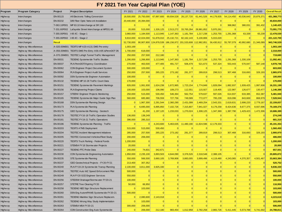## **FY 2021 Ten Year Capital Plan (YOE)**

|          | FY 2021 Ten Year Capital Plan (YOE) |               |                                                |            |                 |                 |                         |                |                |                 |                 |                |            |                       |
|----------|-------------------------------------|---------------|------------------------------------------------|------------|-----------------|-----------------|-------------------------|----------------|----------------|-----------------|-----------------|----------------|------------|-----------------------|
| Program  | <b>Program Category</b>             | Project       | <b>Project Description</b>                     | FY 2021    | FY 2022         | FY 2023         | FY 2024                 | FY 2025        | FY 2026        | FY 2027         | FY 2028         | FY 2029        | FY 2030    | <b>Overall Result</b> |
| Highw ay | Interchanges                        | EN-00115      | All Electronic Tolling Conversion              | 18,500,000 | 25,750,000      | 67,897,600      | 69,934,528              | 28, 137, 720   | 61,441,526     | 44,179,935      | 54,114,450      | 40,536,643     | 20,876,371 | 431,368,773           |
| Highw ay | Interchanges                        | EN-00232      | D/B Fiber Optic Netw ork Installation          | 20,440,000 | 20,394,000      | $\Omega$        | $\Omega$                | $\Omega$       | $\overline{0}$ | $\Omega$        | $\Omega$        | $\overline{0}$ |            | 40,834,000            |
| Highw ay | Interchanges                        | T-063.10P001  | MP 63.10 Interchange at SR 130                 | 0          | $\Omega$        | $\Omega$        | 0                       | $\Omega$       | $\overline{0}$ | $\vert 0 \vert$ | 368,962         | 380,031        | 391,432    | 1,140,425             |
| Highw ay | Interchanges                        | T-331.60P002  | Lafayette Street Interchange at MP331.60       | 20,000     | 515,000         | 1,326,125       | 2,513,272               | 33,765,264     | 28,981,852     | 5,970,261       | $\vert 0 \vert$ | $\overline{0}$ |            | 73,091,775            |
| Highw ay | Interchanges                        | T-355.00P001  | I-95 I/C - Stage 1                             | 3,960,000  | 1,184,500       | 1,113,945       | 1,147,363               | 1,181,784      | 1,217,238      | 1,253,755       | 1,291,368       | 63,339         | 65,239     | 12,478,530            |
| Highw ay | Interchanges                        |               | T-355.00P002   I-95 VC - Stage 2               | 9,810,000  | 42,024,000      | 51,878,010      | 25, 132, 721            | 82,162,143     | 5,100,806      | 5,015,020       | $\mathbf{0}$    | $\overline{0}$ |            | 221,122,700           |
| Highw ay | Interchanges                        | <b>Result</b> |                                                | 52,730,000 | 90,907,800      | 124,878,539     | 186,156,972 201,533,608 |                | 112,982,851    | 56.430.912      | 55,787,079      | 40,992,680     | 21,346,089 | 943,746,529           |
| Highw ay | <b>Highway Miscellaneous</b>        |               | A-020.00M001 TEOITS MP A20-A131 DMS Pre-entry  | 1,003,169  | $\Omega$        | $\Omega$        | $\Omega$                | $\Omega$       | $\mathbf{0}$   | $\Omega$        | $\Omega$        | $\overline{0}$ |            | 1,003,169             |
| Highw ay | <b>Highway Miscellaneous</b>        | A-056.00M001  | TEOITS DMS Pre-Entry A56-A95 & PennDOT D5      | 1,700,000  | 618,000         | 0               | 0                       | $\Omega$       | $\overline{0}$ | 0               | 0               | $\overline{0}$ |            | 2,318,000             |
| Highw ay | <b>Highway Miscellaneous</b>        | A-070.26M001  | <b>TEOTEC Lehigh Tunnel Traffic Management</b> | 250,000    | 257,500         | 212,180         | 0                       | $\Omega$       | $\overline{0}$ | 0               | $\vert 0 \vert$ | $\overline{0}$ |            | 719,680               |
| Highw ay | <b>Highway Miscellaneous</b>        | EN-00031      | <b>TEOENG Systemw ide Traffic Studies</b>      | 1,290,000  | 1,266,900       | 1,113,945       | 1,147,363               | 1,181,784      | 1,217,238      | 1,253,755       | 1,291,368       | 1,330,109      |            | 11,092,461            |
| Highw ay | <b>Highway Miscellaneous</b>        | EN-00037      | PLN PennDOT/Agency Coordination                | 270,000    | 463,500         | 477,405         | 491,727                 | 506,479        | 521,673        | 537,324         | 553,443         | 570,047        | 587,148    | 4,978,746             |
| Highw ay | <b>Highway Miscellaneous</b>        | EN-00062      | CON Engineer Project Document System           | 500,000    | 103,000         | $\Omega$        | 0                       | $\Omega$       | $\overline{0}$ | $\Omega$        | $\Omega$        | $\overline{0}$ |            | 603,000               |
| Highw ay | <b>Highway Miscellaneous</b>        | EN-00064      | PLN Engineer Project Audit Services            | 250,000    | 257,500         | 265,225         | 273,182                 | 281,377        | 289,819        | 298,513         | 307,468         | 316,693        | 326,193    | 2,865,970             |
| Highw ay | <b>Highway Miscellaneous</b>        | EN-00092      | DSN Systemw ide Engineer Automation            | 100,000    | $\Omega$        | 0               | 0                       | $\Omega$       | $\overline{0}$ | 0               | 0               | $\overline{0}$ |            | 100,000               |
| Highw ay | <b>Highway Miscellaneous</b>        | EN-00132      | TEOENG MP 10-28 Traffic Count Data             | 170,000    | $\Omega$        | $\vert 0 \vert$ | $\Omega$                | $\Omega$       | $\overline{0}$ | $\vert 0 \vert$ | $\Omega$        | $\overline{0}$ |            | 170,000               |
| Highw ay | <b>Highway Miscellaneous</b>        | EN-00151      | <b>TEOENG Systemw ide Pavement Markings</b>    | 826,000    | 1,061,930       | 1,624,238       | 1,672,965               | 1,723,154      | 1,774,849      | 1,828,094       | 1,882,937       | 1,939,425      | 1,997,608  | 16,331,199            |
| Highw ay | <b>Highway Miscellaneous</b>        | EN-00156      | PLN Engineering Project Claims                 | 100,000    | 103,000         | 106,090         | 109,273                 | 112,551        | 115,927        | 119,405         | 122,987         | 126,677        | 130,477    | 1,146,388             |
| Highw ay | <b>Highway Miscellaneous</b>        | EN-00157      | <b>STEENV Engineer Projects Monitoring</b>     | 250,000    | 515,000         | 530,450         | 546,364                 | 562,754        | 579,637        | 597,026         | 614,937         | 633,385        | 652,387    | 5,481,940             |
| Highw ay | <b>Highway Miscellaneous</b>        | EN-00165      | TEOENG Systemw ide Major Guide Sign Plan       | 560,000    | 685,980         | 706,559         | 727,756                 | 749,589        | 772,077        | 795,239         | 819,096         | 843,669        | 868,979    | 7,528,944             |
| Highw ay | <b>Highway Miscellaneous</b>        | EN-00168      | DSN Systemwide Planning Design                 | 0          | 1,967,300       | 2,291,544       | 2,360,290               | 2,431,099      | 2,469,254      | 2,543,331       | 2,619,631       | 2,698,220      | 2,779,167  | 22,159,837            |
| Highw ay | <b>Highway Miscellaneous</b>        | EN-00173      | PLN Systemw ide Planning                       | 0          | 6,695,000       | 6,895,850       | 7,102,726               | 7,315,807      | 7,941,027      | 8,179,258       | 8,424,636       | 8,677,375      | 8,937,696  | 70,169,376            |
| Highw ay | <b>Highway Miscellaneous</b>        | EN-00175      | GEO Systemw ide Planning - Geotech             | 0          | 41,200          | 1,197,120       | 1,233,033               | 1,270,024      | 1,308,125      | 1,347,369       | 1,387,790       | 1,429,423      | 1,472,306  | 10,686,389            |
| Highw ay | <b>Highway Miscellaneous</b>        | EN-00178      | TEOTEC FY16-18 Traffic Operation Studies       | 136,000    | 138,249         | $\Omega$        | $\Omega$                | $\Omega$       | $\overline{0}$ | $\Omega$        | $\Omega$        | $\overline{0}$ |            | 274,249               |
| Highw ay | <b>Highway Miscellaneous</b>        | EN-00181      | TEOTEC FY19-21 Traffic Operations              | 396,000    | 285,310         | $\Omega$        | $\Omega$                |                | $\Omega$       | $\Omega$        | $\Omega$        | $\overline{0}$ |            | 681,310               |
| Highw ay | <b>Highway Miscellaneous</b>        | EN-00186      | TEOENG Systemw ide Planning - Traffic          | 0          | $\Omega$        | 4,243,600       | 5,463,635               | 11,480,190     | 11,824,596     | 12,179,333      | 0               | $\overline{0}$ |            | 45,191,354            |
| Highw ay | <b>Highway Miscellaneous</b>        | EN-00203      | <b>TEOITS ATMS Deployment</b>                  | 515,000    | 515,000         | 530,450         | $\Omega$                | $\Omega$       | $\overline{0}$ | $\vert 0 \vert$ | $\Omega$        | $\overline{0}$ |            | 1,560,450             |
| Highw ay | <b>Highway Miscellaneous</b>        | EN-00204      | <b>TEOTEC Incident Management Initiatives</b>  | 285,000    | 257,500         | 265,225         | 273,182                 | 281,377        | 289,819        | 298,513         | 307,468         | 316,693        | 326,193    | 2,900,970             |
| Highw ay | <b>Highway Miscellaneous</b>        | EN-00205      | <b>TEOTEC Connected Vehicles/Fleet Study</b>   | 200,000    | 206,000         | $\Omega$        | 0                       | $\Omega$       | $\overline{0}$ | 0               | $\vert 0 \vert$ | $\overline{0}$ |            | 406,000               |
| Highw ay | <b>Highway Miscellaneous</b>        | EN-00220      | <b>TEOITS Truck Parking - Federal Funds</b>    | 1,200,000  | $\Omega$        | $\Omega$        | 0                       | $\Omega$       | $\overline{0}$ | $\Omega$        | $\Omega$        | $\overline{0}$ |            | 1,200,000             |
| Highw ay | <b>Highway Miscellaneous</b>        | EN-00221      | STEMS4 FY18 Stormw ater Projects               | 20,000     | $\Omega$        | $\Omega$        | $\Omega$                | $\Omega$       | $\mathbf{0}$   | $\Omega$        | $\Omega$        | $\overline{0}$ |            | 20,000                |
| Highw ay | <b>Highway Miscellaneous</b>        | EN-00227      | <b>TEOENG PTC Probe Data</b>                   | 240,000    | 74,831          | 342,671         | 0                       | $\Omega$       | $\overline{0}$ | 0               | $\overline{0}$  | $\overline{0}$ |            | 657,501               |
| Highw ay | <b>Highway Miscellaneous</b>        | EN-00230      | CON Systemw ide Engineering Automation         | 1,950,000  | 2,235,100       | 3,893,503       | 4,644,090               | 3,376,526      | 2,318,548      | 2.388.105       | $\Omega$        | $\overline{0}$ |            | 20,805,872            |
| Highw ay | <b>Highway Miscellaneous</b>        | EN-00235      | STE Systemw ide Planning                       | 550,000    | 566,500         | 3,660,105       | 3,769,908               | 3,883,005      | 3,999,496      | 4,119,480       | 4,243,065       | 4,370,357      | 4,501,467  | 33,663,384            |
| Highw ay | <b>Highway Miscellaneous</b>        | EN-00237      | GEO Geotechnical Projects - FY20-FY21          | 213,400    | 307,352         | $\Omega$        | $\Omega$                | $\Omega$       | $\Omega$       | $\Omega$        | $\Omega$        | $\overline{0}$ |            | 520,752               |
| Highw ay | Highw ay Miscellaneous              | EN-00240      | PLN FY19-24 Systemwide Transp Planning         | 2.100.000  | 3,811,000       | 3,925,330       | $\Omega$                |                | $\Omega$       | n               | $\Omega$        | $\Omega$       |            | 9,836,330             |
| Highw ay | Highw ay Miscellaneous              | EN-00246      | TEOTEC Auto WZ Speed Enforcement Pilot         | 500,000    | 0               | 0               | 0                       | $\overline{0}$ | 0              | 0               | 0               | $\mathbf{0}$   | 0          | 500,000               |
| Highw ay | Highw ay Miscellaneous              | EN-00249      | PLN FY20 GCE Engineer Services                 | 550,000    | $\vert 0 \vert$ | 0               | 0                       | 0              | 0              | 0               | 0               | $\mathbf{0}$   | 0          | 550,000               |
| Highw ay | <b>Highway Miscellaneous</b>        | EN-00256      | STEDSW Drainage/Stormw ater FY20-21            | 100,000    | 0               | 0               | 0                       | 0              | 0              | 0               | 0               | 0              |            | 100,000               |
| Highw ay | Highw ay Miscellaneous              | EN-00257      | STETRE Tree Clearing FY20                      | 50,000     | 66,950          | 0               | 0                       | 0              | 0              | 0               | 0               | 0              |            | 116,950               |
| Highw ay | Highw ay Miscellaneous              | EN-00258      | <b>TEOENG NEE Sign Structure Replacement</b>   | 0          | 103,000         | 0               | 0                       | $\overline{0}$ | 0              | 0               | $\overline{0}$  | 0              |            | 103,000               |
| Highw ay | Highw ay Miscellaneous              | EN-00260      | DSN Eng Autom/PAMS Systemwide FY20-21          | 500,000    | $\Omega$        | 0               | 0                       | 0              | 0              | 0               | 0               | 0              | $\Omega$   | 500,000               |
| Highw ay | Highw ay Miscellaneous              | EN-00261      | TEOENG Mainline Sign Structure Replacem.       | 0          | 2,080,600       | 2,143,018       | 0                       | 0              | 0              | 0               | 0               | 0              |            | 4,223,618             |
| Highw ay | Highw ay Miscellaneous              | EN-00262      | <b>TEOENG Wrong Way Study Implementation</b>   | 0          | 103,000         | 0               | 0                       | $\Omega$       | 0              | 0               | 0               | 0              |            | 103,000               |
| Highw ay | Highw ay Miscellaneous              | EN-00263      | STEMS4 MS4 FY20-21                             | 300,000    | 206,000         | 0               | $\overline{0}$          | $\overline{0}$ | $\overline{0}$ | 0               | $\mathbf{0}$    | 0              |            | 506,000               |
| Highw ay | <b>Highway Miscellaneous</b>        | EN-00264      | CON Construction Eng Auto Systemwide           | 0          | 206,000         | 212,180         | 983,454                 | 1,012,958      | 2,782,258      | 2,865,726       | 5,411,445       | 5,573,788      | 5,741,002  | 24,788,811            |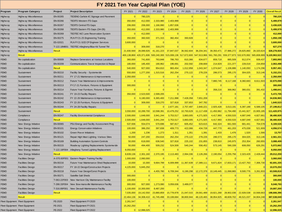|             |                                 |               | FY 2021 Ten Year Capital Plan (YOE)                 |                |                                                                         |                       |                |                |                |                                                        |                 |                                  |            |                       |
|-------------|---------------------------------|---------------|-----------------------------------------------------|----------------|-------------------------------------------------------------------------|-----------------------|----------------|----------------|----------------|--------------------------------------------------------|-----------------|----------------------------------|------------|-----------------------|
| Program     | <b>Program Category</b>         | Project       | <b>Project Description</b>                          | FY 2021        | FY 2022                                                                 | FY 2023               | FY 2024        | FY 2025        | FY 2026        | FY 2027                                                | FY 2028         | FY 2029                          | FY 2030    | <b>Overall Result</b> |
| Highw ay    | <b>Highway Miscellaneous</b>    | EN-00265      | TEOENG Carlisle I/C Signage and Pavement            | $\Omega$       | 780,225                                                                 | $\Omega$              | $\Omega$       | 0              | $\Omega$       | $\mathbf{0}$                                           | 0               | 0                                |            | 780,225               |
| Highw ay    | Highw ay Miscellaneous          | EN-00266      | <b>TEOITS Western ITS Gaps</b>                      | 350,000        | 412,000                                                                 | 2,333,980             | 2,403,999      | $\Omega$       | $\Omega$       | $\mathbf{0}$                                           | $\vert 0 \vert$ | 0                                |            | 5,499,979             |
| Highw ay    | <b>Highway Miscellaneous</b>    | EN-00267      | <b>TEOITS Central ITS Gaps</b>                      | 206,000        | 206,000                                                                 | 1,166,990             | 1,857,636      | $\Omega$       | $\Omega$       | $\mathbf{0}$                                           | $\overline{0}$  | $\overline{0}$                   |            | 3,436,626             |
| Highw ay    | Highw ay Miscellaneous          | EN-00268      | TEOITS Eastern ITS Gaps (D4-D5)                     | 350,000        | 412,000                                                                 | 2,333,980             | 2,403,999      | $\Omega$       | $\Omega$       | $\Omega$                                               | 0               | 0                                |            | 5,499,979             |
| Highw ay    | <b>Highway Miscellaneous</b>    | EN-00269      | <b>TEOTEC WZ Lane Reservation System</b>            | $\overline{0}$ | 412,000                                                                 | $\vert 0 \vert$       | $\Omega$       | $\Omega$       | 0              | $\mathbf{0}$                                           | $\vert 0 \vert$ | 0                                |            | 412,000               |
| Highw ay    | Highw ay Miscellaneous          | EN-00275      | PLN FY21-25 Engineering Training                    | 350,000        | 360,500                                                                 | 371,315               | 382,454        | 393,928        | 0              | $\mathbf{0}$                                           | $\overline{0}$  | 0                                |            | 1,858,198             |
| Highw ay    | Highw ay Miscellaneous          | ES-02021      | PLN FY21 GCE CP Engineer Services                   | 3,600,000      | $\Omega$                                                                | $\Omega$              | $\Omega$       | $\Omega$       | $\Omega$       | $\Omega$                                               | $\vert 0 \vert$ | 0                                |            | 3,600,000             |
| Highw ay    | Highw ay Miscellaneous          |               | T-122.18M001   TEOTEC Allegheny/Blue Kit Tunnel TM  | $\Omega$       | 309,000                                                                 | 318,270               | $\Omega$       | $\Omega$       | $\Omega$       | $\Omega$                                               | $\Omega$        | 0                                |            | 627,270               |
| Highw ay    | <b>Highway Miscellaneous</b>    | <b>Result</b> |                                                     | 21,930,569     | 28,089,926                                                              | 41, 161, 223          | 37,847,037     | 36,562,604     | 38,204,341     | 39,350,471                                             | 27,986,272      | 28,825,860                       | 28,320,624 | 328,278,926           |
| Highw ay    | Result                          |               |                                                     | 400,138,869    | 420,371,606 500,240,300 515,008,136 517,672,600 547,913,966 561,760,291 |                       |                |                |                |                                                        | 559,377,873     | 532,670,992 565,808,889          |            | 5,120,963,522         |
| <b>FEMO</b> | Re-capitalization               | EN-00009      | Replace Generators at Various Locations             | 360,000        | 741,600                                                                 | 763,848               | 786,763        | 810,366        | 834,677        | 859,718                                                | 885,509         | 912,074                          | 939,437    | 7,893,993             |
| <b>FEMO</b> | Re-capitalization               | EN-00209      | Communications Tow er Inspection & Repair           | 180,000        | 185,400                                                                 | 190,962               | 196,691        | 202,592        | 208,669        | 214,929                                                | 221,377         | 228,019                          | 234,859    | 2,063,498             |
| <b>FEMO</b> | Re-capitalization               | Result        |                                                     | 540,000        | 927,000                                                                 | 954,810               | 983,454        | 1,012,958      | 1,043,347      | 1,074,647                                              | 1,106,886       | 1,140,093                        | 1,174,296  | 9,957,491             |
| <b>FEMO</b> | Sustainment                     | EN-00210      | Facility Security - Systemwide                      | 550,000        | 1,277,200                                                               | 1,315,516             | 262,254        | 270,122        | 278,226        | 286,573                                                | 295,170         | 304,025                          | 313,146    | 5,152,231             |
| FEMO        | Sustainment                     | EN-00211      | FY 17-21 Maintenance & Improvements                 | 2,350,000      | $\overline{0}$                                                          | $\vert 0 \vert$       | $\overline{0}$ | $\overline{0}$ | $\overline{0}$ | $\vert 0 \vert$                                        | $\overline{0}$  | $\overline{0}$                   |            | 2,350,000             |
| <b>FEMO</b> | Sustainment                     | EN-00212      | Future Year Maintenance & Improvements              | $\Omega$       | $\vert 0 \vert$                                                         | 0                     | 0              | 0              | 0              | 7,880,745                                              | 8,117,168       | 8,360,683                        | 8,611,503  | 32,970,098            |
| <b>FEMO</b> | Sustainment                     | EN-00213      | FY17-21 Furniture, Fixtures & Equipment             | 300,000        | $\Omega$                                                                | $\Omega$              | $\overline{0}$ | $\Omega$       | $\overline{0}$ | $\vert 0 \vert$                                        | $\vert 0 \vert$ | $\Omega$                         |            | 300,000               |
| FEMO        | Sustainment                     | EN-00214      | Future Year Furniture, Fixtures & Eqpmnt            | $\Omega$       | $\Omega$                                                                | $\Omega$              | $\Omega$       | 0              | $\Omega$       | 358,216                                                | 368,962         | 380,031                          | 391,432    | 1,498,641             |
| <b>FEMO</b> | Sustainment                     | EN-00241      | FY 19-23 Facility Repairs                           | 350,000        | 2,523,500                                                               | 2,599,205             | $\Omega$       | $\Omega$       | $\Omega$       | $\mathbf{0}$                                           | $\vert 0 \vert$ | 0                                |            | 5,472,705             |
| <b>FEMO</b> | Sustainment                     | EN-00242      | FY 22-26 Maintenance & Improvements                 | $\mathbf 0$    | 6,180,000                                                               | 6,365,400             | 7,211,998      | 7,428,358      | 7,651,209      | $\vert 0 \vert$                                        | 0               | 0                                |            | 34,836,965            |
| <b>FEMO</b> | Sustainment                     | EN-00243      | FY 22-26 Furniture, Fixtures & Equipment            | $\overline{0}$ | 309,000                                                                 | 318,270               | 327,818        | 337,653        | 347,782        | $\mathbf{0}$                                           | 0               | 0                                |            | 1,640,523             |
| <b>FEMO</b> | Sustainment                     | EN-00244      | FY 24-28 Facility Repairs                           | $\Omega$       | $\vert 0 \vert$                                                         | 0                     | 2,677,181      | 2,757,497      | 2,840,221      | 2,925,428                                              | 3,013,191       | 6,397,189                        | 6,589,105  | 27,199,812            |
| <b>FEMO</b> | Sustainment                     | Result        |                                                     | 3,550,000      | 10,289,700                                                              | 10,598,391            | 10,479,252     | 10,793,629     | 11,117,438     | 11,450,962                                             | 11,794,490      | 15,441,927                       | 15,905,185 | 111,420,975           |
| <b>FEMO</b> | Compliance                      | EN-00247      | <b>Facility Environmental Compliance</b>            | 2,500,000      | 1,648,000                                                               | 3,941,244             | 3,753,517      | 3,883,005      | 4,271,925      | 4,417,993                                              | 4,550,533       | 4,687,049                        | 4,827,661  | 38,480,928            |
| <b>FEMO</b> | Compliance                      | Result        |                                                     | 2,500,000      | 1,648,000                                                               | 3,941,244             | 3,753,517      | 3,883,005      | 4,271,925      | 4,417,993                                              | 4,550,533       | 4,687,049                        | 4,827,661  | 38,480,928            |
| <b>FEMO</b> | New Energy Initiative           | EN-00065      | PSU Energy and Facility Assessment Prog             | 537,936        | 554,074                                                                 | 570,696               | 587,817        | 605,452        | 623,615        | 642,324                                                | 661,593         | 681,441                          | 704,578    | 6,169,526             |
| <b>FEMO</b> | New Energy Initiative           | EN-00101      | <b>Energy Conservation Initiatives</b>              | 100,000        | 386,250                                                                 | 397,838               | 409,773        | 422,066        | 434,728        | 447,770                                                | 461,203         | 475,039                          | 521,909    | 4,056,574             |
| <b>FEMO</b> | New Energy Initiative           | EN-00102      | Green Pow er Initiatives                            | 1,200          | 1,236                                                                   | 1,273                 | 1,311          | 1,351          | 1,391          | 1,433                                                  | 1,476           | 1,520                            | 1,566      | 13,757                |
| <b>FEMO</b> | New Energy Initiative           | EN-00121      | Repair High Mast Lighting - Various Sites           | 50,000         | 247,200                                                                 | 254,616               | 262,254        | 270,122        | 278,226        | 286,573                                                | 295,170         | 304,025                          | 313,146    | 2,561,331             |
| <b>FEMO</b> | New Energy Initiative           | EN-00169      | <b>Building Automation System Controls</b>          | 50,000         | 618,000                                                                 | 636,540               | 327,818        | 225,102        | 231,855        | 238,810                                                | 245,975         | 253,354                          | 260,955    | 3,088,409             |
| <b>FEMO</b> | New Energy Initiative           | EN-00215      | Roadw ay Lighting Replacements Systemwide           | 50,000         | 494,400                                                                 | 509,232               | 524,509        | 540,244        | 556,452        | 573,145                                                | 590,339         | 608,050                          | 626,291    | 5,072,662             |
| <b>FEMO</b> | New Energy Initiative           | T-122.18F004  | Allegheny Tunnel Lighting Replacement               | 8,050,000      | $\overline{0}$                                                          | $\vert 0 \vert$       | $\overline{0}$ | $\overline{0}$ | $\Omega$       | $\vert 0 \vert$                                        | $\overline{0}$  | $\overline{0}$                   |            | 8,050,000             |
| <b>FEMO</b> | New Energy Initiative           | Result        |                                                     | 8,839,136      | 2,301,160                                                               | 2,370,195             | 2,113,483      | 2,064,336      | 2.126.266      | 2,190,054                                              | 2,255,756       | 2,323,429                        | 2,428,444  | 29,012,259            |
| <b>FEMO</b> | <b>Facilities Design</b>        | A-070.60F001  | <b>Eastern Region Training Facility</b>             | 1,000,000      | 2,060,000                                                               | $\Omega$              | $\Omega$       |                | $\Omega$       | $\Omega$                                               | $\Omega$        | $\Omega$                         |            | 3,060,000             |
| FEMO        | <b>Facilities Design</b>        | EN-00216      | Future Year Maintenance Shed Replacement            | 10,000         | 10,300                                                                  | 9,664,799             | 6,009,999      | 11,367,639     | 17,389,111     | 9,671,824                                              | 17,833,171      | 13,427,763                       | 7,306,730  | 92,691,335            |
| <b>FEMO</b> | <b>Facilities Design</b>        | EN-00217      | FY 18-22 Design/Construction Projects               | 4.225.000      | 5.845.250                                                               | $\Omega$              | $\Omega$       |                | $\Omega$       | $\Omega$                                               |                 |                                  |            | 10,070,250            |
| <b>FEMO</b> | <b>Facilities Design</b>        | EN-00218      | Future Year Design/Const Projects                   | 0              | 0                                                                       | 4,455,780             | 6,709,344      |                |                | 6,190,298 12,172,378 10,149,445 11,068,865             |                 | 9,500,776                        | 3,261,933  | 63,508,818            |
| <b>FEMO</b> | <b>Facilities Design</b>        | EN-00271      | Satellite Salt Sheds                                | 300,000        | 0                                                                       | 0                     | 0              | 0              | $\Omega$       | $\mathbf 0$                                            | 0               | 0                                |            | 300,000               |
| <b>FEMO</b> | <b>Facilities Design</b>        |               | T-063.22F003 New Harrison City Maintenance Facility | 100,000        | 0                                                                       | 0                     | 0              | 0              | 0              | 0                                                      | 0               | 0                                |            | 100,000               |
| <b>FEMO</b> | <b>Facilities Design</b>        | T-288.33F004  | New Bow mansville Maintenance Facility              | 300,000        | 927,000                                                                 | 1,273,080             | 3,059,636      | 3,489,077      | 0              | 0                                                      | 0               | 0                                |            | 9,048,793             |
| <b>FEMO</b> | <b>Facilities Design</b>        |               | T-316.89F001 New Devault Maintenance Facility       | 1,100,000      | 10,300,000                                                              | 8,487,200             | 0              | 0              | 0              | 0                                                      | 0               | 0                                |            | 19,887,200            |
| <b>FEMO</b> | <b>Facilities Design</b>        | Result        |                                                     | 7,035,000      | 19,142,550                                                              |                       |                |                |                | 23,880,859 15,778,978 21,047,015 29,561,489 19,821,268 |                 | 28,902,036 22,928,538 10,568,663 |            | 198,666,396           |
| <b>FEMO</b> | <b>Result</b>                   |               |                                                     | 22,464,136     |                                                                         | 34,308,410 41,745,498 | 33,108,684     | 38,800,944     | 48,120,465     | 38,954,925                                             | 48,609,702      | 46,521,037                       | 34,904,248 | 387,538,049           |
|             | Fleet Equipment Fleet Equipment | FE-2020       | Fleet Equipment FY2020                              | 2,261,547      | $\vert 0 \vert$                                                         | $\mathbf 0$           | $\mathbf 0$    | $\mathbf 0$    | 0              | $\overline{0}$                                         | $\vert 0 \vert$ | 0                                |            | 2,261,547             |
|             | Fleet Equipment Fleet Equipment | FE-2021       | Fleet Equipment FY2021                              | 15,262,250     | 0                                                                       | 0                     | 0              | 0              | 0              | 0                                                      | 0               | 0                                |            | 15,262,250            |
|             | Fleet Equipment Fleet Equipment | FE-2022       | Fleet Equipment FY2022                              |                | 0 12,996,025                                                            | 0                     | 0              | 0              | 0              | 0                                                      | 0               | 0                                | $\Omega$   | 12,996,025            |